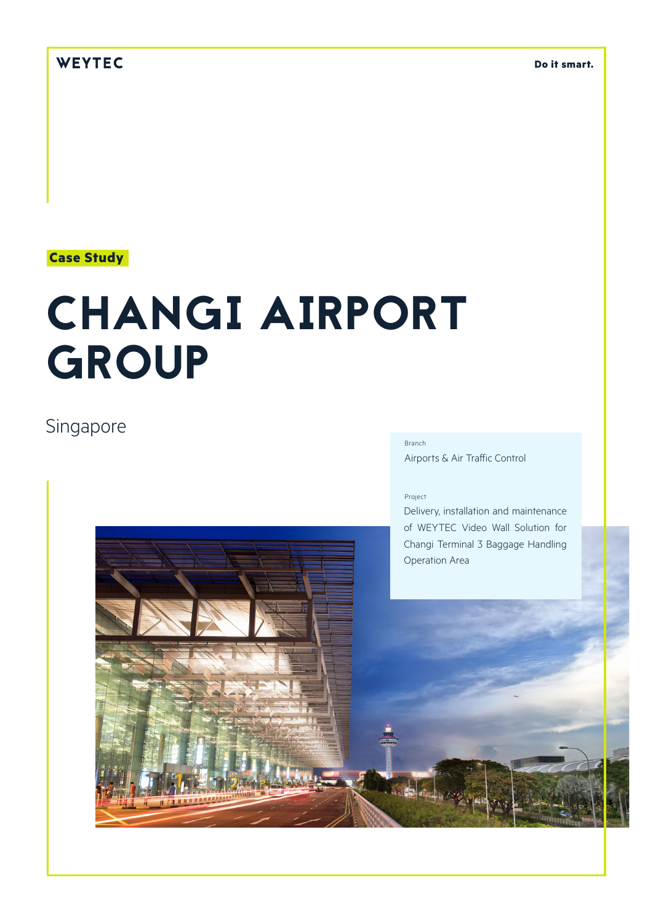## WEYTEC

**Do it smart.**

### **Case Study**

# CHANGI AIRPORT **GROUP**

# Singapore

#### Branch

Airports & Air Traffic Control

#### Project

Delivery, installation and maintenance of WEYTEC Video Wall Solution for Changi Terminal 3 Baggage Handling Operation Area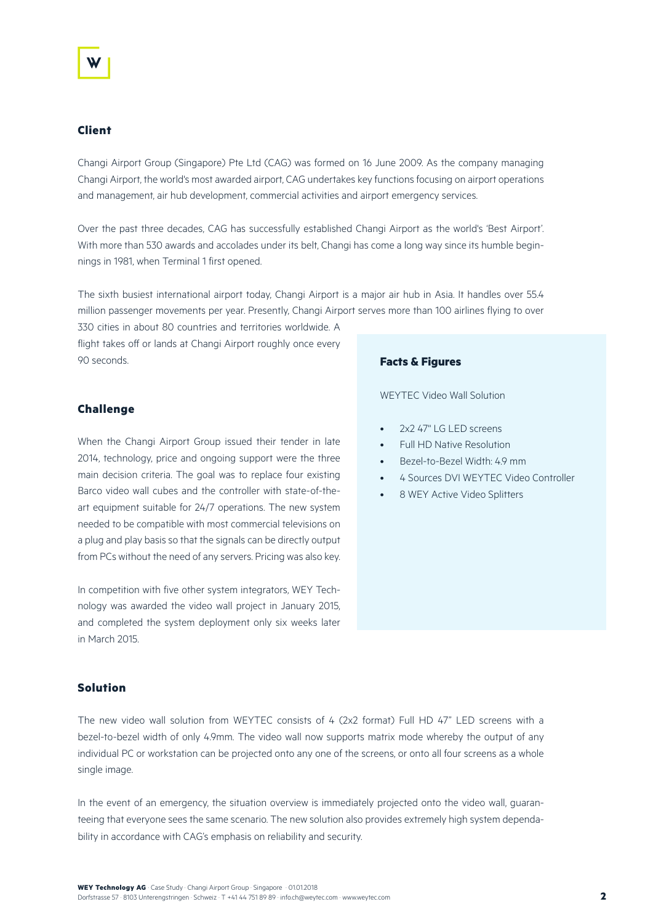#### **Client**

Changi Airport Group (Singapore) Pte Ltd (CAG) was formed on 16 June 2009. As the company managing Changi Airport, the world's most awarded airport, CAG undertakes key functions focusing on airport operations and management, air hub development, commercial activities and airport emergency services.

Over the past three decades, CAG has successfully established Changi Airport as the world's 'Best Airport'. With more than 530 awards and accolades under its belt, Changi has come a long way since its humble beginnings in 1981, when Terminal 1 first opened.

The sixth busiest international airport today, Changi Airport is a major air hub in Asia. It handles over 55.4 million passenger movements per year. Presently, Changi Airport serves more than 100 airlines flying to over

330 cities in about 80 countries and territories worldwide. A flight takes off or lands at Changi Airport roughly once every 90 seconds.

#### **Challenge**

When the Changi Airport Group issued their tender in late 2014, technology, price and ongoing support were the three main decision criteria. The goal was to replace four existing Barco video wall cubes and the controller with state-of-theart equipment suitable for 24/7 operations. The new system needed to be compatible with most commercial televisions on a plug and play basis so that the signals can be directly output from PCs without the need of any servers. Pricing was also key.

In competition with five other system integrators, WEY Technology was awarded the video wall project in January 2015, and completed the system deployment only six weeks later in March 2015.

#### **Facts & Figures**

WEYTEC Video Wall Solution

- 2x2 47'' LG LED screens
- Full HD Native Resolution
- Bezel-to-Bezel Width: 4.9 mm
- 4 Sources DVI WEYTEC Video Controller
- 8 WEY Active Video Splitters

#### **Solution**

The new video wall solution from WEYTEC consists of 4 (2x2 format) Full HD 47" LED screens with a bezel-to-bezel width of only 4.9mm. The video wall now supports matrix mode whereby the output of any individual PC or workstation can be projected onto any one of the screens, or onto all four screens as a whole single image.

In the event of an emergency, the situation overview is immediately projected onto the video wall, guaranteeing that everyone sees the same scenario. The new solution also provides extremely high system dependability in accordance with CAG's emphasis on reliability and security.